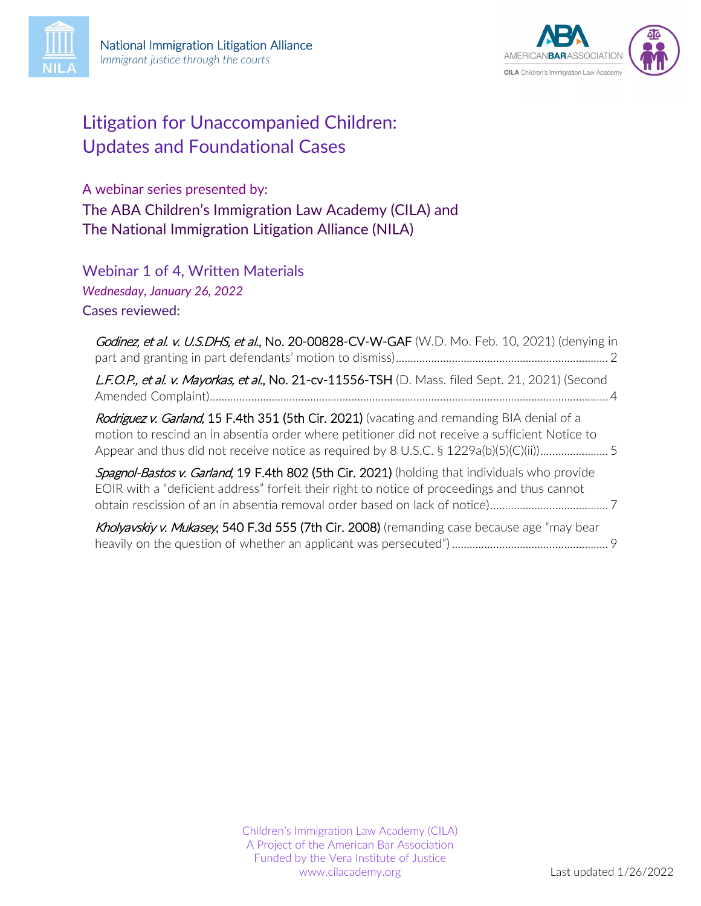



# Litigation for Unaccompanied Children: Updates and Foundational Cases

A webinar series presented by: The ABA Children's Immigration Law Academy (CILA) and The National Immigration Litigation Alliance (NILA)

Webinar 1 of 4, Written Materials *Wednesday, January 26, 2022* Cases reviewed:

| Godinez, et al. v. U.S.DHS, et al., No. 20-00828-CV-W-GAF (W.D. Mo. Feb. 10, 2021) (denying in                                                                                                |  |
|-----------------------------------------------------------------------------------------------------------------------------------------------------------------------------------------------|--|
| L.F.O.P., et al. v. Mayorkas, et al., No. 21-cv-11556-TSH (D. Mass. filed Sept. 21, 2021) (Second                                                                                             |  |
| Rodriguez v. Garland, 15 F.4th 351 (5th Cir. 2021) (vacating and remanding BIA denial of a<br>motion to rescind an in absentia order where petitioner did not receive a sufficient Notice to  |  |
| Spagnol-Bastos v. Garland, 19 F.4th 802 (5th Cir. 2021) (holding that individuals who provide<br>EOIR with a "deficient address" forfeit their right to notice of proceedings and thus cannot |  |
| Kholyavskiy v. Mukasey, 540 F.3d 555 (7th Cir. 2008) (remanding case because age "may bear                                                                                                    |  |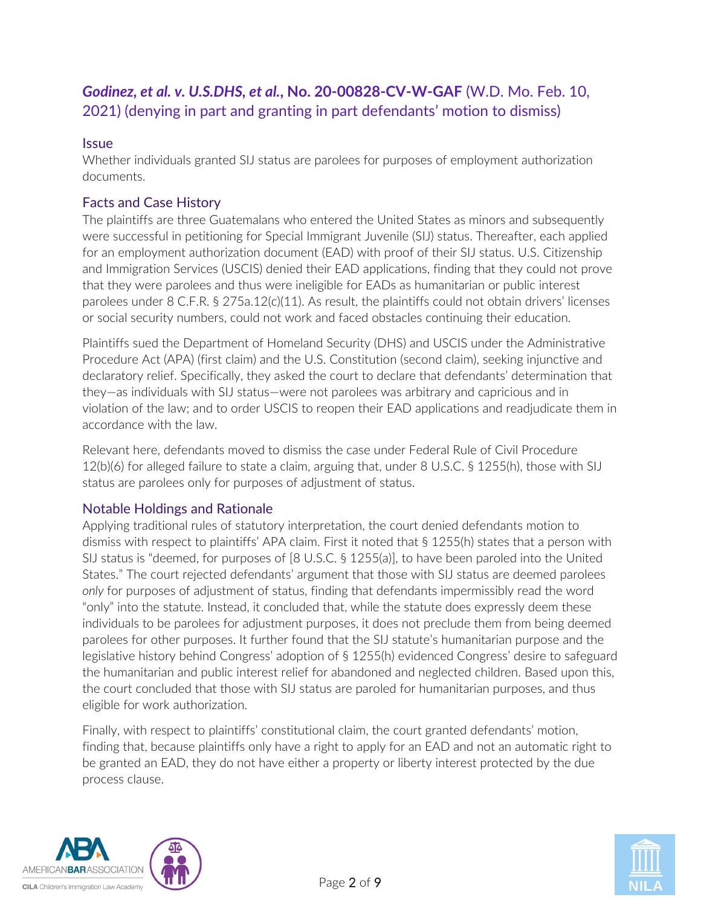# <span id="page-1-0"></span>*Godinez, et al. v. U.S.DHS, et al.***, No. 20-00828-CV-W-GAF** (W.D. Mo. Feb. 10, 2021) (denying in part and granting in part defendants' motion to dismiss)

#### **Issue**

Whether individuals granted SIJ status are parolees for purposes of employment authorization documents.

# Facts and Case History

The plaintiffs are three Guatemalans who entered the United States as minors and subsequently were successful in petitioning for Special Immigrant Juvenile (SIJ) status. Thereafter, each applied for an employment authorization document (EAD) with proof of their SIJ status. U.S. Citizenship and Immigration Services (USCIS) denied their EAD applications, finding that they could not prove that they were parolees and thus were ineligible for EADs as humanitarian or public interest parolees under 8 C.F.R. § 275a.12(c)(11). As result, the plaintiffs could not obtain drivers' licenses or social security numbers, could not work and faced obstacles continuing their education.

Plaintiffs sued the Department of Homeland Security (DHS) and USCIS under the Administrative Procedure Act (APA) (first claim) and the U.S. Constitution (second claim), seeking injunctive and declaratory relief. Specifically, they asked the court to declare that defendants' determination that they—as individuals with SIJ status—were not parolees was arbitrary and capricious and in violation of the law; and to order USCIS to reopen their EAD applications and readjudicate them in accordance with the law.

Relevant here, defendants moved to dismiss the case under Federal Rule of Civil Procedure 12(b)(6) for alleged failure to state a claim, arguing that, under 8 U.S.C. § 1255(h), those with SIJ status are parolees only for purposes of adjustment of status.

# Notable Holdings and Rationale

Applying traditional rules of statutory interpretation, the court denied defendants motion to dismiss with respect to plaintiffs' APA claim. First it noted that § 1255(h) states that a person with SIJ status is "deemed, for purposes of [8 U.S.C. § 1255(a)], to have been paroled into the United States." The court rejected defendants' argument that those with SIJ status are deemed parolees *only* for purposes of adjustment of status, finding that defendants impermissibly read the word "only" into the statute. Instead, it concluded that, while the statute does expressly deem these individuals to be parolees for adjustment purposes, it does not preclude them from being deemed parolees for other purposes. It further found that the SIJ statute's humanitarian purpose and the legislative history behind Congress' adoption of § 1255(h) evidenced Congress' desire to safeguard the humanitarian and public interest relief for abandoned and neglected children. Based upon this, the court concluded that those with SIJ status are paroled for humanitarian purposes, and thus eligible for work authorization.

Finally, with respect to plaintiffs' constitutional claim, the court granted defendants' motion, finding that, because plaintiffs only have a right to apply for an EAD and not an automatic right to be granted an EAD, they do not have either a property or liberty interest protected by the due process clause.



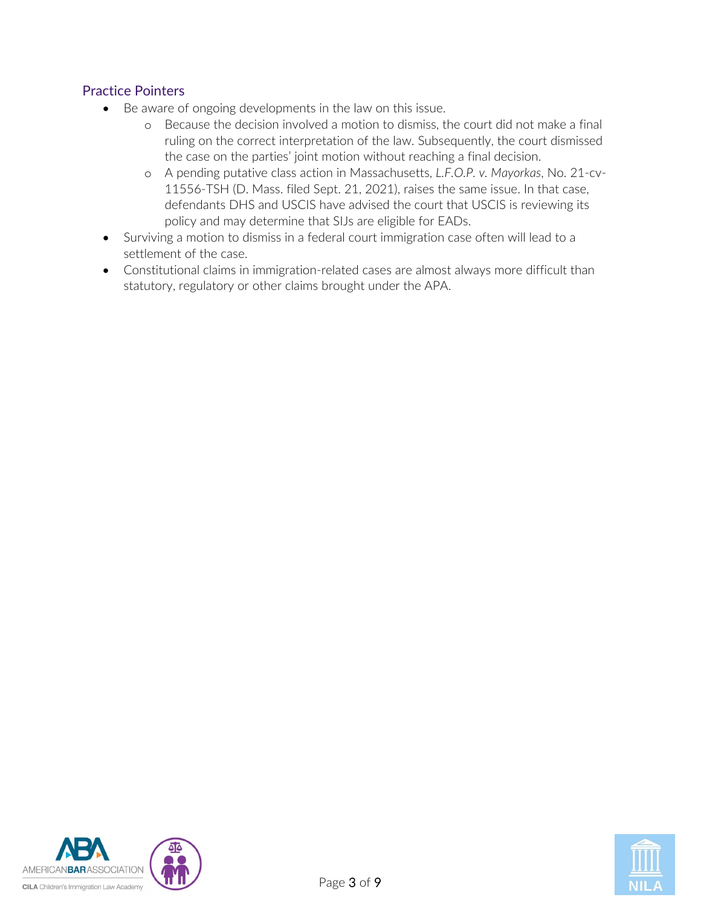# Practice Pointers

- Be aware of ongoing developments in the law on this issue.
	- o Because the decision involved a motion to dismiss, the court did not make a final ruling on the correct interpretation of the law. Subsequently, the court dismissed the case on the parties' joint motion without reaching a final decision.
	- o A pending putative class action in Massachusetts, *L.F.O.P. v. Mayorkas*, No. 21-cv-11556-TSH (D. Mass. filed Sept. 21, 2021), raises the same issue. In that case, defendants DHS and USCIS have advised the court that USCIS is reviewing its policy and may determine that SIJs are eligible for EADs.
- Surviving a motion to dismiss in a federal court immigration case often will lead to a settlement of the case.
- Constitutional claims in immigration-related cases are almost always more difficult than statutory, regulatory or other claims brought under the APA.



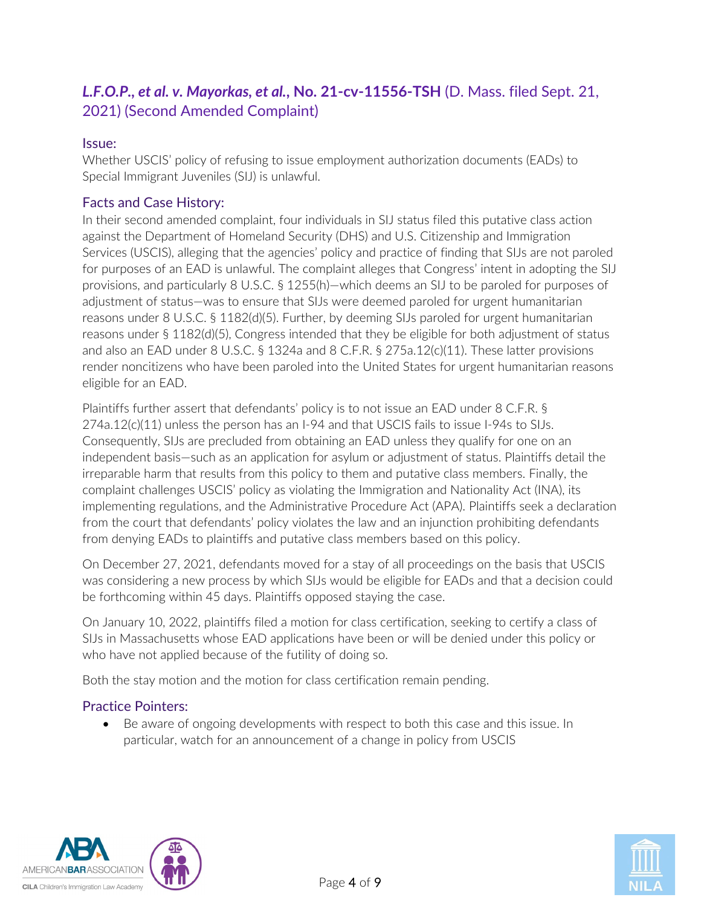# <span id="page-3-0"></span>*L.F.O.P., et al. v. Mayorkas, et al.***, No. 21-cv-11556-TSH** (D. Mass. filed Sept. 21, 2021) (Second Amended Complaint)

#### Issue:

Whether USCIS' policy of refusing to issue employment authorization documents (EADs) to Special Immigrant Juveniles (SIJ) is unlawful.

# Facts and Case History:

In their second amended complaint, four individuals in SIJ status filed this putative class action against the Department of Homeland Security (DHS) and U.S. Citizenship and Immigration Services (USCIS), alleging that the agencies' policy and practice of finding that SIJs are not paroled for purposes of an EAD is unlawful. The complaint alleges that Congress' intent in adopting the SIJ provisions, and particularly 8 U.S.C. § 1255(h)—which deems an SIJ to be paroled for purposes of adjustment of status—was to ensure that SIJs were deemed paroled for urgent humanitarian reasons under 8 U.S.C. § 1182(d)(5). Further, by deeming SIJs paroled for urgent humanitarian reasons under § 1182(d)(5), Congress intended that they be eligible for both adjustment of status and also an EAD under 8 U.S.C. § 1324a and 8 C.F.R. § 275a.12(c)(11). These latter provisions render noncitizens who have been paroled into the United States for urgent humanitarian reasons eligible for an EAD.

Plaintiffs further assert that defendants' policy is to not issue an EAD under 8 C.F.R. § 274a.12(c)(11) unless the person has an I-94 and that USCIS fails to issue I-94s to SIJs. Consequently, SIJs are precluded from obtaining an EAD unless they qualify for one on an independent basis—such as an application for asylum or adjustment of status. Plaintiffs detail the irreparable harm that results from this policy to them and putative class members. Finally, the complaint challenges USCIS' policy as violating the Immigration and Nationality Act (INA), its implementing regulations, and the Administrative Procedure Act (APA). Plaintiffs seek a declaration from the court that defendants' policy violates the law and an injunction prohibiting defendants from denying EADs to plaintiffs and putative class members based on this policy.

On December 27, 2021, defendants moved for a stay of all proceedings on the basis that USCIS was considering a new process by which SIJs would be eligible for EADs and that a decision could be forthcoming within 45 days. Plaintiffs opposed staying the case.

On January 10, 2022, plaintiffs filed a motion for class certification, seeking to certify a class of SIJs in Massachusetts whose EAD applications have been or will be denied under this policy or who have not applied because of the futility of doing so.

Both the stay motion and the motion for class certification remain pending.

# Practice Pointers:

• Be aware of ongoing developments with respect to both this case and this issue. In particular, watch for an announcement of a change in policy from USCIS



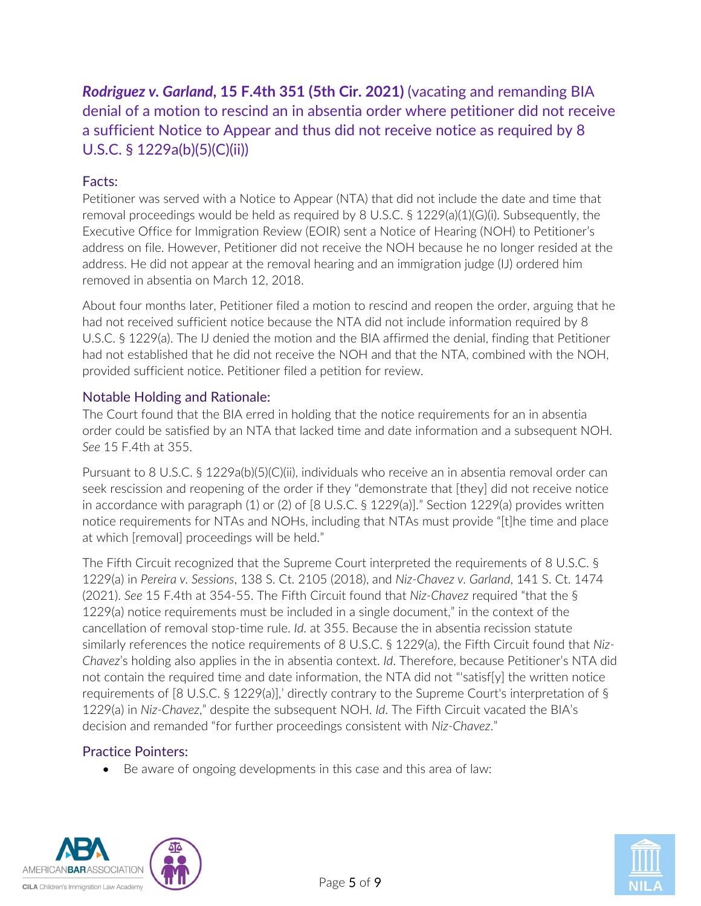<span id="page-4-0"></span>*Rodriguez v. Garland***, 15 F.4th 351 (5th Cir. 2021)** (vacating and remanding BIA denial of a motion to rescind an in absentia order where petitioner did not receive a sufficient Notice to Appear and thus did not receive notice as required by 8 U.S.C. § 1229a(b)(5)(C)(ii))

# Facts:

Petitioner was served with a Notice to Appear (NTA) that did not include the date and time that removal proceedings would be held as required by 8 U.S.C. § 1229(a)(1)(G)(i). Subsequently, the Executive Office for Immigration Review (EOIR) sent a Notice of Hearing (NOH) to Petitioner's address on file. However, Petitioner did not receive the NOH because he no longer resided at the address. He did not appear at the removal hearing and an immigration judge (IJ) ordered him removed in absentia on March 12, 2018.

About four months later, Petitioner filed a motion to rescind and reopen the order, arguing that he had not received sufficient notice because the NTA did not include information required by 8 U.S.C. § 1229(a). The IJ denied the motion and the BIA affirmed the denial, finding that Petitioner had not established that he did not receive the NOH and that the NTA, combined with the NOH, provided sufficient notice. Petitioner filed a petition for review.

# Notable Holding and Rationale:

The Court found that the BIA erred in holding that the notice requirements for an in absentia order could be satisfied by an NTA that lacked time and date information and a subsequent NOH. *See* 15 F.4th at 355.

Pursuant to 8 U.S.C. § 1229a(b)(5)(C)(ii), individuals who receive an in absentia removal order can seek rescission and reopening of the order if they "demonstrate that [they] did not receive notice in accordance with paragraph (1) or (2) of [8 U.S.C. § 1229(a)]." Section 1229(a) provides written notice requirements for NTAs and NOHs, including that NTAs must provide "[t]he time and place at which [removal] proceedings will be held."

The Fifth Circuit recognized that the Supreme Court interpreted the requirements of 8 U.S.C. § 1229(a) in *Pereira v. Sessions*, 138 S. Ct. 2105 (2018), and *Niz-Chavez v. Garland*, 141 S. Ct. 1474 (2021). *See* 15 F.4th at 354-55. The Fifth Circuit found that *Niz-Chavez* required "that the § 1229(a) notice requirements must be included in a single document," in the context of the cancellation of removal stop-time rule. *Id*. at 355. Because the in absentia recission statute similarly references the notice requirements of 8 U.S.C. § 1229(a), the Fifth Circuit found that *Niz-Chavez*'s holding also applies in the in absentia context. *Id*. Therefore, because Petitioner's NTA did not contain the required time and date information, the NTA did not "'satisf[y] the written notice requirements of [8 U.S.C. § 1229(a)],' directly contrary to the Supreme Court's interpretation of § 1229(a) in *Niz-Chavez*," despite the subsequent NOH. *Id*. The Fifth Circuit vacated the BIA's decision and remanded "for further proceedings consistent with *Niz-Chavez*."

# Practice Pointers:

• Be aware of ongoing developments in this case and this area of law:



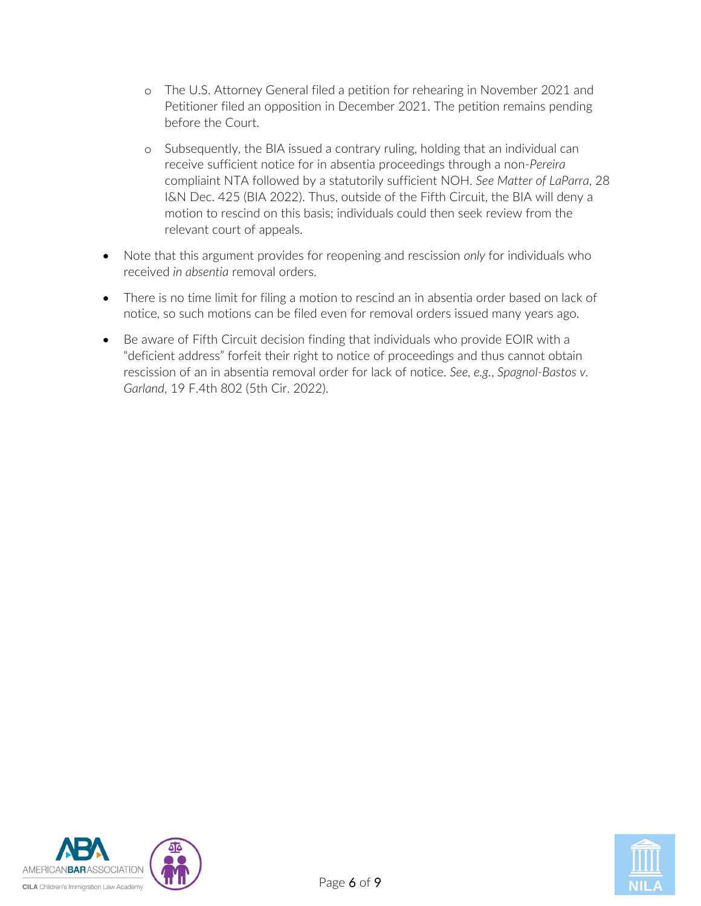- o The U.S. Attorney General filed a petition for rehearing in November 2021 and Petitioner filed an opposition in December 2021. The petition remains pending before the Court.
- o Subsequently, the BIA issued a contrary ruling, holding that an individual can receive sufficient notice for in absentia proceedings through a non-*Pereira*  compliaint NTA followed by a statutorily sufficient NOH. *See Matter of LaParra*, 28 I&N Dec. 425 (BIA 2022). Thus, outside of the Fifth Circuit, the BIA will deny a motion to rescind on this basis; individuals could then seek review from the relevant court of appeals.
- Note that this argument provides for reopening and rescission *only* for individuals who received *in absentia* removal orders.
- There is no time limit for filing a motion to rescind an in absentia order based on lack of notice, so such motions can be filed even for removal orders issued many years ago.
- Be aware of Fifth Circuit decision finding that individuals who provide EOIR with a "deficient address" forfeit their right to notice of proceedings and thus cannot obtain rescission of an in absentia removal order for lack of notice. *See, e.g.*, *Spagnol-Bastos v. Garland*, 19 F.4th 802 (5th Cir. 2022).



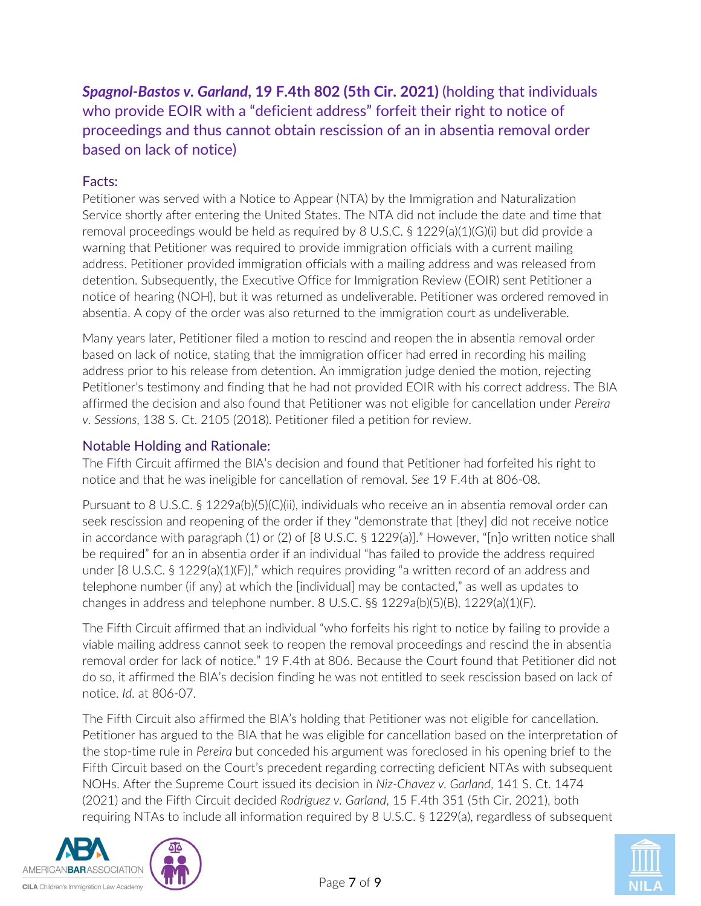<span id="page-6-0"></span>*Spagnol-Bastos v. Garland***, 19 F.4th 802 (5th Cir. 2021)** (holding that individuals who provide EOIR with a "deficient address" forfeit their right to notice of proceedings and thus cannot obtain rescission of an in absentia removal order based on lack of notice)

# Facts:

Petitioner was served with a Notice to Appear (NTA) by the Immigration and Naturalization Service shortly after entering the United States. The NTA did not include the date and time that removal proceedings would be held as required by 8 U.S.C. § 1229(a)(1)(G)(i) but did provide a warning that Petitioner was required to provide immigration officials with a current mailing address. Petitioner provided immigration officials with a mailing address and was released from detention. Subsequently, the Executive Office for Immigration Review (EOIR) sent Petitioner a notice of hearing (NOH), but it was returned as undeliverable. Petitioner was ordered removed in absentia. A copy of the order was also returned to the immigration court as undeliverable.

Many years later, Petitioner filed a motion to rescind and reopen the in absentia removal order based on lack of notice, stating that the immigration officer had erred in recording his mailing address prior to his release from detention. An immigration judge denied the motion, rejecting Petitioner's testimony and finding that he had not provided EOIR with his correct address. The BIA affirmed the decision and also found that Petitioner was not eligible for cancellation under *Pereira v. Sessions*, 138 S. Ct. 2105 (2018). Petitioner filed a petition for review.

# Notable Holding and Rationale:

The Fifth Circuit affirmed the BIA's decision and found that Petitioner had forfeited his right to notice and that he was ineligible for cancellation of removal. *See* 19 F.4th at 806-08.

Pursuant to 8 U.S.C. § 1229a(b)(5)(C)(ii), individuals who receive an in absentia removal order can seek rescission and reopening of the order if they "demonstrate that [they] did not receive notice in accordance with paragraph (1) or (2) of [8 U.S.C. § 1229(a)]." However, "[n]o written notice shall be required" for an in absentia order if an individual "has failed to provide the address required under [8 U.S.C. § 1229(a)(1)(F)]," which requires providing "a written record of an address and telephone number (if any) at which the [individual] may be contacted," as well as updates to changes in address and telephone number. 8 U.S.C. §§ 1229a(b)(5)(B), 1229(a)(1)(F).

The Fifth Circuit affirmed that an individual "who forfeits his right to notice by failing to provide a viable mailing address cannot seek to reopen the removal proceedings and rescind the in absentia removal order for lack of notice." 19 F.4th at 806. Because the Court found that Petitioner did not do so, it affirmed the BIA's decision finding he was not entitled to seek rescission based on lack of notice. *Id*. at 806-07.

The Fifth Circuit also affirmed the BIA's holding that Petitioner was not eligible for cancellation. Petitioner has argued to the BIA that he was eligible for cancellation based on the interpretation of the stop-time rule in *Pereira* but conceded his argument was foreclosed in his opening brief to the Fifth Circuit based on the Court's precedent regarding correcting deficient NTAs with subsequent NOHs. After the Supreme Court issued its decision in *Niz-Chavez v. Garland*, 141 S. Ct. 1474 (2021) and the Fifth Circuit decided *Rodriguez v. Garland*, 15 F.4th 351 (5th Cir. 2021), both requiring NTAs to include all information required by 8 U.S.C. § 1229(a), regardless of subsequent



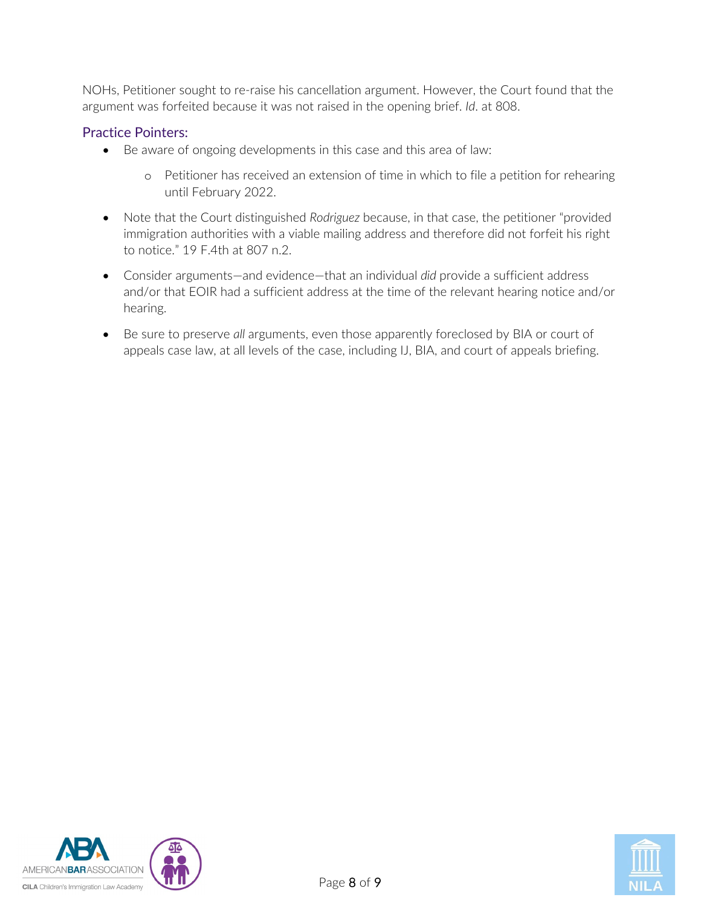NOHs, Petitioner sought to re-raise his cancellation argument. However, the Court found that the argument was forfeited because it was not raised in the opening brief. *Id*. at 808.

# Practice Pointers:

- Be aware of ongoing developments in this case and this area of law:
	- o Petitioner has received an extension of time in which to file a petition for rehearing until February 2022.
- Note that the Court distinguished *Rodriguez* because, in that case, the petitioner "provided immigration authorities with a viable mailing address and therefore did not forfeit his right to notice." 19 F.4th at 807 n.2.
- Consider arguments—and evidence—that an individual *did* provide a sufficient address and/or that EOIR had a sufficient address at the time of the relevant hearing notice and/or hearing.
- Be sure to preserve *all* arguments, even those apparently foreclosed by BIA or court of appeals case law, at all levels of the case, including IJ, BIA, and court of appeals briefing.